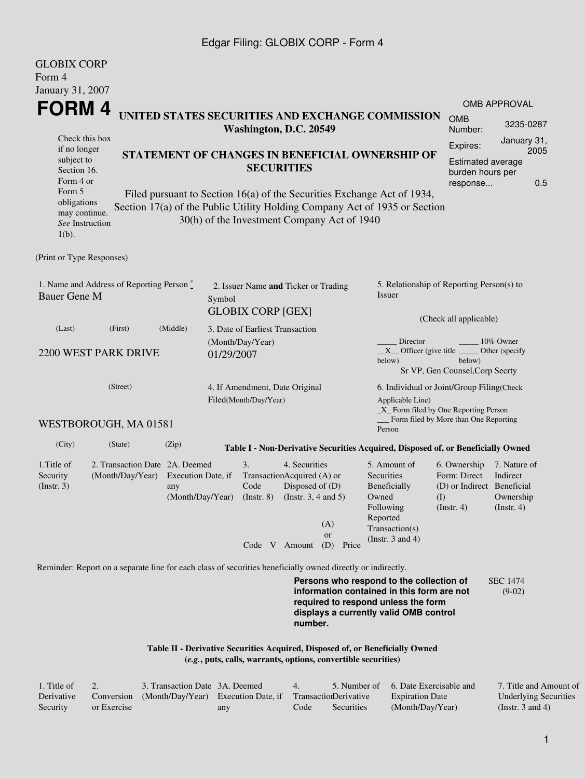#### Edgar Filing: GLOBIX CORP - Form 4

GLOBIX CORP

| ULUDIA CUNF<br>Form 4                                                                                                                                                                                                                                                         |                                                                                                             |                                                     |                                                         |                                                                                            |                                                                                                                                                    |                                                                                                                         |                                                                                       |                                                           |  |
|-------------------------------------------------------------------------------------------------------------------------------------------------------------------------------------------------------------------------------------------------------------------------------|-------------------------------------------------------------------------------------------------------------|-----------------------------------------------------|---------------------------------------------------------|--------------------------------------------------------------------------------------------|----------------------------------------------------------------------------------------------------------------------------------------------------|-------------------------------------------------------------------------------------------------------------------------|---------------------------------------------------------------------------------------|-----------------------------------------------------------|--|
| January 31, 2007<br>FORM 4                                                                                                                                                                                                                                                    |                                                                                                             |                                                     |                                                         |                                                                                            |                                                                                                                                                    |                                                                                                                         |                                                                                       | OMB APPROVAL                                              |  |
|                                                                                                                                                                                                                                                                               |                                                                                                             |                                                     | Washington, D.C. 20549                                  |                                                                                            |                                                                                                                                                    | UNITED STATES SECURITIES AND EXCHANGE COMMISSION                                                                        | <b>OMB</b><br>Number:                                                                 | 3235-0287                                                 |  |
| Check this box<br>if no longer<br>subject to<br>Section 16.<br>Form 4 or                                                                                                                                                                                                      |                                                                                                             |                                                     |                                                         | <b>SECURITIES</b>                                                                          |                                                                                                                                                    | STATEMENT OF CHANGES IN BENEFICIAL OWNERSHIP OF                                                                         | Expires:<br><b>Estimated average</b><br>burden hours per<br>response                  | January 31,<br>2005<br>0.5                                |  |
| Form 5<br>Filed pursuant to Section 16(a) of the Securities Exchange Act of 1934,<br>obligations<br>Section 17(a) of the Public Utility Holding Company Act of 1935 or Section<br>may continue.<br>30(h) of the Investment Company Act of 1940<br>See Instruction<br>$1(b)$ . |                                                                                                             |                                                     |                                                         |                                                                                            |                                                                                                                                                    |                                                                                                                         |                                                                                       |                                                           |  |
| (Print or Type Responses)                                                                                                                                                                                                                                                     |                                                                                                             |                                                     |                                                         |                                                                                            |                                                                                                                                                    |                                                                                                                         |                                                                                       |                                                           |  |
| <b>Bauer Gene M</b>                                                                                                                                                                                                                                                           | 1. Name and Address of Reporting Person $\degree$                                                           | Symbol                                              | 2. Issuer Name and Ticker or Trading                    |                                                                                            |                                                                                                                                                    | 5. Relationship of Reporting Person(s) to<br><i>Issuer</i>                                                              |                                                                                       |                                                           |  |
|                                                                                                                                                                                                                                                                               | (First)                                                                                                     |                                                     | <b>GLOBIX CORP [GEX]</b>                                |                                                                                            |                                                                                                                                                    | (Check all applicable)                                                                                                  |                                                                                       |                                                           |  |
| (Last)<br>2200 WEST PARK DRIVE                                                                                                                                                                                                                                                | (Middle)<br>01/29/2007                                                                                      | 3. Date of Earliest Transaction<br>(Month/Day/Year) |                                                         |                                                                                            | Director<br>10% Owner<br>$X$ Officer (give title $\overline{\phantom{a}}$<br>Other (specify<br>below)<br>below)<br>Sr VP, Gen Counsel, Corp Secrty |                                                                                                                         |                                                                                       |                                                           |  |
| (Street)                                                                                                                                                                                                                                                                      |                                                                                                             |                                                     | 4. If Amendment, Date Original<br>Filed(Month/Day/Year) |                                                                                            |                                                                                                                                                    | 6. Individual or Joint/Group Filing(Check<br>Applicable Line)<br>$\_X$ Form filed by One Reporting Person               |                                                                                       |                                                           |  |
|                                                                                                                                                                                                                                                                               | WESTBOROUGH, MA 01581                                                                                       |                                                     |                                                         |                                                                                            |                                                                                                                                                    | Person                                                                                                                  | Form filed by More than One Reporting                                                 |                                                           |  |
| (City)                                                                                                                                                                                                                                                                        | (State)                                                                                                     | (Zip)                                               |                                                         |                                                                                            |                                                                                                                                                    | Table I - Non-Derivative Securities Acquired, Disposed of, or Beneficially Owned                                        |                                                                                       |                                                           |  |
| 1. Title of<br>Security<br>(Insert. 3)                                                                                                                                                                                                                                        | 2. Transaction Date 2A. Deemed<br>(Month/Day/Year)                                                          | Execution Date, if<br>any<br>(Month/Day/Year)       | 3.<br>Code<br>$($ Instr. $8)$                           | 4. Securities<br>TransactionAcquired (A) or<br>Disposed of (D)<br>(Instr. $3, 4$ and $5$ ) | (A)<br><b>or</b>                                                                                                                                   | 5. Amount of<br>Securities<br>Beneficially<br>Owned<br>Following<br>Reported<br>Transaction(s)<br>(Instr. $3$ and $4$ ) | 6. Ownership<br>Form: Direct<br>(D) or Indirect Beneficial<br>(I)<br>$($ Instr. 4 $)$ | 7. Nature of<br>Indirect<br>Ownership<br>$($ Instr. 4 $)$ |  |
|                                                                                                                                                                                                                                                                               |                                                                                                             |                                                     |                                                         | Code V Amount                                                                              | (D) Price                                                                                                                                          |                                                                                                                         |                                                                                       |                                                           |  |
|                                                                                                                                                                                                                                                                               | Reminder: Report on a separate line for each class of securities beneficially owned directly or indirectly. |                                                     |                                                         |                                                                                            |                                                                                                                                                    | Persons who respond to the collection of                                                                                |                                                                                       | <b>SEC 1474</b>                                           |  |

**information contained in this form are not required to respond unless the form displays a currently valid OMB control number.** (9-02)

**Table II - Derivative Securities Acquired, Disposed of, or Beneficially Owned (***e.g.***, puts, calls, warrants, options, convertible securities)**

| 1. Title of |             | 3. Transaction Date 3A. Deemed                                        |     |      |            | 5. Number of 6. Date Exercisable and | 7. Title and Amount of       |
|-------------|-------------|-----------------------------------------------------------------------|-----|------|------------|--------------------------------------|------------------------------|
| Derivative  |             | Conversion (Month/Day/Year) Execution Date, if Transaction Derivative |     |      |            | <b>Expiration Date</b>               | <b>Underlying Securities</b> |
| Security    | or Exercise |                                                                       | any | Code | Securities | (Month/Day/Year)                     | (Instr. 3 and 4)             |